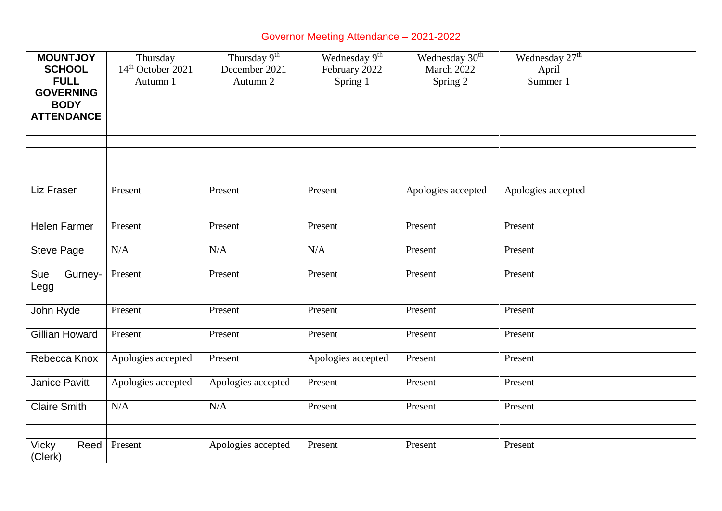## Governor Meeting Attendance – 2021-2022

| <b>MOUNTJOY</b>       | Thursday                      | Thursday 9 <sup>th</sup> | Wednesday 9 <sup>th</sup> | Wednesday 30 <sup>th</sup> | Wednesday 27 <sup>th</sup> |  |
|-----------------------|-------------------------------|--------------------------|---------------------------|----------------------------|----------------------------|--|
| <b>SCHOOL</b>         | 14 <sup>th</sup> October 2021 | December 2021            | February 2022             | March 2022                 | April                      |  |
| <b>FULL</b>           | Autumn 1                      | Autumn 2                 | Spring 1                  | Spring 2                   | Summer 1                   |  |
| <b>GOVERNING</b>      |                               |                          |                           |                            |                            |  |
| <b>BODY</b>           |                               |                          |                           |                            |                            |  |
| <b>ATTENDANCE</b>     |                               |                          |                           |                            |                            |  |
|                       |                               |                          |                           |                            |                            |  |
|                       |                               |                          |                           |                            |                            |  |
|                       |                               |                          |                           |                            |                            |  |
|                       |                               |                          |                           |                            |                            |  |
| Liz Fraser            | Present                       | Present                  | Present                   | Apologies accepted         | Apologies accepted         |  |
|                       |                               |                          |                           |                            |                            |  |
| <b>Helen Farmer</b>   | Present                       | Present                  | Present                   | Present                    | Present                    |  |
|                       |                               |                          |                           |                            |                            |  |
| <b>Steve Page</b>     | N/A                           | N/A                      | N/A                       | Present                    | Present                    |  |
|                       |                               |                          |                           |                            |                            |  |
| Sue<br>Gurney-        | Present                       | Present                  | Present                   | Present                    | Present                    |  |
| Legg                  |                               |                          |                           |                            |                            |  |
|                       |                               |                          |                           |                            |                            |  |
| John Ryde             | Present                       | Present                  | Present                   | Present                    | Present                    |  |
|                       |                               |                          |                           |                            |                            |  |
| <b>Gillian Howard</b> | Present                       | Present                  | Present                   | Present                    | Present                    |  |
| Rebecca Knox          | Apologies accepted            | Present                  | Apologies accepted        | Present                    | Present                    |  |
|                       |                               |                          |                           |                            |                            |  |
| Janice Pavitt         | Apologies accepted            | Apologies accepted       | Present                   | Present                    | Present                    |  |
|                       |                               |                          |                           |                            |                            |  |
| <b>Claire Smith</b>   | N/A                           | N/A                      | Present                   | Present                    | Present                    |  |
|                       |                               |                          |                           |                            |                            |  |
|                       |                               |                          |                           |                            |                            |  |
| Reed<br>Vicky         | Present                       | Apologies accepted       | Present                   | Present                    | Present                    |  |
| (Clerk)               |                               |                          |                           |                            |                            |  |